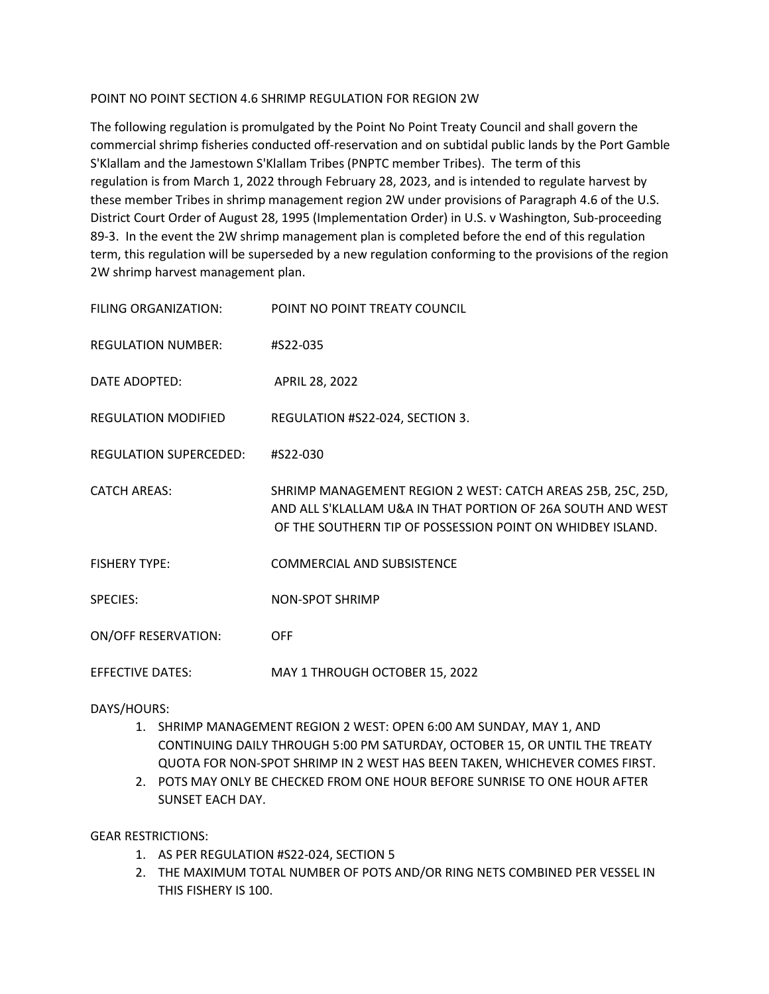## POINT NO POINT SECTION 4.6 SHRIMP REGULATION FOR REGION 2W

The following regulation is promulgated by the Point No Point Treaty Council and shall govern the commercial shrimp fisheries conducted off-reservation and on subtidal public lands by the Port Gamble S'Klallam and the Jamestown S'Klallam Tribes (PNPTC member Tribes). The term of this regulation is from March 1, 2022 through February 28, 2023, and is intended to regulate harvest by these member Tribes in shrimp management region 2W under provisions of Paragraph 4.6 of the U.S. District Court Order of August 28, 1995 (Implementation Order) in U.S. v Washington, Sub-proceeding 89-3. In the event the 2W shrimp management plan is completed before the end of this regulation term, this regulation will be superseded by a new regulation conforming to the provisions of the region 2W shrimp harvest management plan.

| FILING ORGANIZATION:          | POINT NO POINT TREATY COUNCIL                                                                                                                                                            |
|-------------------------------|------------------------------------------------------------------------------------------------------------------------------------------------------------------------------------------|
| <b>REGULATION NUMBER:</b>     | #S22-035                                                                                                                                                                                 |
| DATE ADOPTED:                 | APRIL 28, 2022                                                                                                                                                                           |
| <b>REGULATION MODIFIED</b>    | REGULATION #S22-024, SECTION 3.                                                                                                                                                          |
| <b>REGULATION SUPERCEDED:</b> | #S22-030                                                                                                                                                                                 |
| <b>CATCH AREAS:</b>           | SHRIMP MANAGEMENT REGION 2 WEST: CATCH AREAS 25B, 25C, 25D,<br>AND ALL S'KLALLAM U&A IN THAT PORTION OF 26A SOUTH AND WEST<br>OF THE SOUTHERN TIP OF POSSESSION POINT ON WHIDBEY ISLAND. |
| <b>FISHERY TYPE:</b>          | <b>COMMERCIAL AND SUBSISTENCE</b>                                                                                                                                                        |
| <b>SPECIES:</b>               | <b>NON-SPOT SHRIMP</b>                                                                                                                                                                   |
| <b>ON/OFF RESERVATION:</b>    | <b>OFF</b>                                                                                                                                                                               |
| <b>EFFECTIVE DATES:</b>       | MAY 1 THROUGH OCTOBER 15, 2022                                                                                                                                                           |

DAYS/HOURS:

- 1. SHRIMP MANAGEMENT REGION 2 WEST: OPEN 6:00 AM SUNDAY, MAY 1, AND CONTINUING DAILY THROUGH 5:00 PM SATURDAY, OCTOBER 15, OR UNTIL THE TREATY QUOTA FOR NON-SPOT SHRIMP IN 2 WEST HAS BEEN TAKEN, WHICHEVER COMES FIRST.
- 2. POTS MAY ONLY BE CHECKED FROM ONE HOUR BEFORE SUNRISE TO ONE HOUR AFTER SUNSET EACH DAY.

GEAR RESTRICTIONS:

- 1. AS PER REGULATION #S22-024, SECTION 5
- 2. THE MAXIMUM TOTAL NUMBER OF POTS AND/OR RING NETS COMBINED PER VESSEL IN THIS FISHERY IS 100.